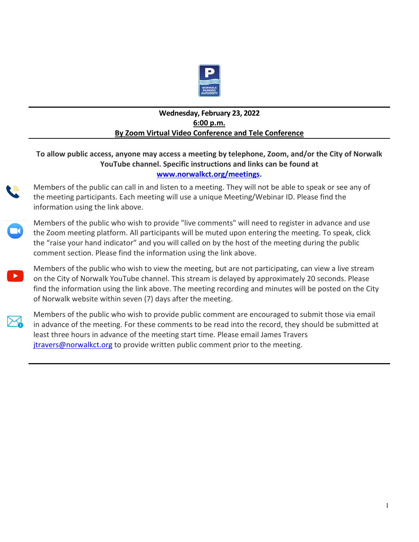

# **Wednesday, February 23, 2022 6:00 p.m. By Zoom Virtual Video Conference and Tele Conference**

# **To allow public access, anyone may access a meeting by telephone, Zoom, and/or the City of Norwalk YouTube channel. Specific instructions and links can be found at www.norwalkct.org/meetings.**

Members of the public can call in and listen to a meeting. They will not be able to speak or see any of the meeting participants. Each meeting will use a unique Meeting/Webinar ID. Please find the information using the link above.



Members of the public who wish to provide "live comments" will need to register in advance and use the Zoom meeting platform. All participants will be muted upon entering the meeting. To speak, click the "raise your hand indicator" and you will called on by the host of the meeting during the public comment section. Please find the information using the link above.

Members of the public who wish to view the meeting, but are not participating, can view a live stream on the City of Norwalk YouTube channel. This stream is delayed by approximately 20 seconds. Please find the information using the link above. The meeting recording and minutes will be posted on the City of Norwalk website within seven (7) days after the meeting.



Members of the public who wish to provide public comment are encouraged to submit those via email in advance of the meeting. For these comments to be read into the record, they should be submitted at least three hours in advance of the meeting start time. Please email James Travers [jtravers@norwalkct.org](mailto:jtravers@norwalkct.org) to provide written public comment prior to the meeting.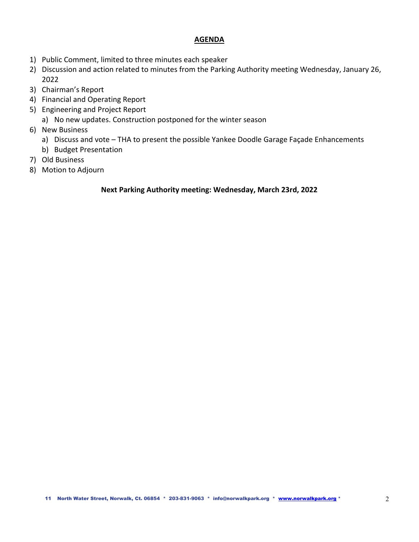### **AGENDA**

- 1) Public Comment, limited to three minutes each speaker
- 2) Discussion and action related to minutes from the Parking Authority meeting Wednesday, January 26, 2022
- 3) Chairman's Report
- 4) Financial and Operating Report
- 5) Engineering and Project Report
	- a) No new updates. Construction postponed for the winter season
- 6) New Business
	- a) Discuss and vote THA to present the possible Yankee Doodle Garage Façade Enhancements
	- b) Budget Presentation
- 7) Old Business
- 8) Motion to Adjourn

# **Next Parking Authority meeting: Wednesday, March 23rd, 2022**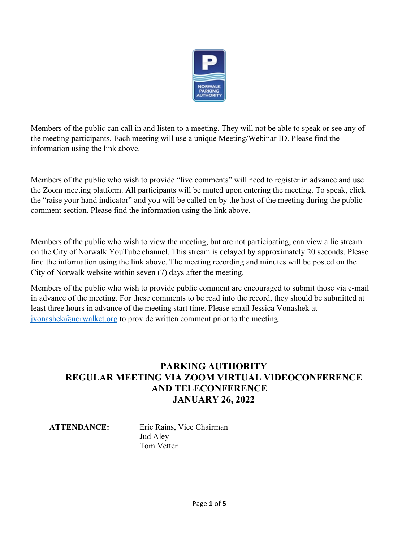

Members of the public can call in and listen to a meeting. They will not be able to speak or see any of the meeting participants. Each meeting will use a unique Meeting/Webinar ID. Please find the information using the link above.

Members of the public who wish to provide "live comments" will need to register in advance and use the Zoom meeting platform. All participants will be muted upon entering the meeting. To speak, click the "raise your hand indicator" and you will be called on by the host of the meeting during the public comment section. Please find the information using the link above.

Members of the public who wish to view the meeting, but are not participating, can view a lie stream on the City of Norwalk YouTube channel. This stream is delayed by approximately 20 seconds. Please find the information using the link above. The meeting recording and minutes will be posted on the City of Norwalk website within seven (7) days after the meeting.

Members of the public who wish to provide public comment are encouraged to submit those via e-mail in advance of the meeting. For these comments to be read into the record, they should be submitted at least three hours in advance of the meeting start time. Please email Jessica Vonashek at  $jvonashek@normalkct.org$  to provide written comment prior to the meeting.

# **PARKING AUTHORITY REGULAR MEETING VIA ZOOM VIRTUAL VIDEOCONFERENCE AND TELECONFERENCE JANUARY 26, 2022**

**ATTENDANCE:** Eric Rains, Vice Chairman Jud Aley Tom Vetter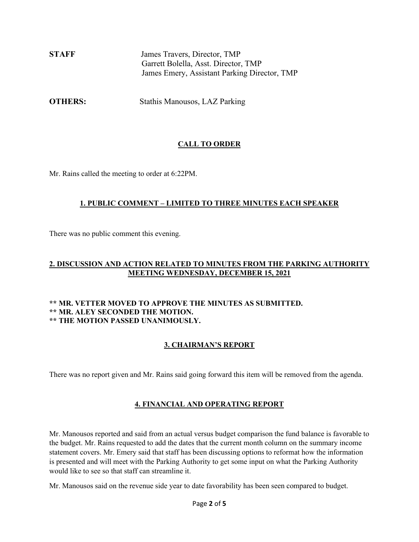**STAFF** James Travers, Director, TMP Garrett Bolella, Asst. Director, TMP James Emery, Assistant Parking Director, TMP

**OTHERS:** Stathis Manousos, LAZ Parking

# **CALL TO ORDER**

Mr. Rains called the meeting to order at 6:22PM.

# **1. PUBLIC COMMENT – LIMITED TO THREE MINUTES EACH SPEAKER**

There was no public comment this evening.

### **2. DISCUSSION AND ACTION RELATED TO MINUTES FROM THE PARKING AUTHORITY MEETING WEDNESDAY, DECEMBER 15, 2021**

#### **\*\* MR. VETTER MOVED TO APPROVE THE MINUTES AS SUBMITTED. \*\* MR. ALEY SECONDED THE MOTION. \*\* THE MOTION PASSED UNANIMOUSLY.**

# **3. CHAIRMAN'S REPORT**

There was no report given and Mr. Rains said going forward this item will be removed from the agenda.

### **4. FINANCIAL AND OPERATING REPORT**

Mr. Manousos reported and said from an actual versus budget comparison the fund balance is favorable to the budget. Mr. Rains requested to add the dates that the current month column on the summary income statement covers. Mr. Emery said that staff has been discussing options to reformat how the information is presented and will meet with the Parking Authority to get some input on what the Parking Authority would like to see so that staff can streamline it.

Mr. Manousos said on the revenue side year to date favorability has been seen compared to budget.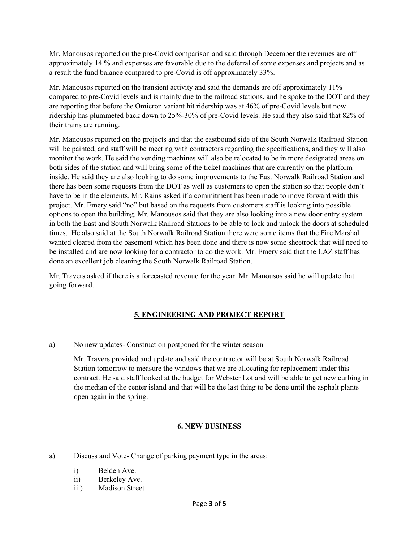Mr. Manousos reported on the pre-Covid comparison and said through December the revenues are off approximately 14 % and expenses are favorable due to the deferral of some expenses and projects and as a result the fund balance compared to pre-Covid is off approximately 33%.

Mr. Manousos reported on the transient activity and said the demands are off approximately 11% compared to pre-Covid levels and is mainly due to the railroad stations, and he spoke to the DOT and they are reporting that before the Omicron variant hit ridership was at 46% of pre-Covid levels but now ridership has plummeted back down to 25%-30% of pre-Covid levels. He said they also said that 82% of their trains are running.

Mr. Manousos reported on the projects and that the eastbound side of the South Norwalk Railroad Station will be painted, and staff will be meeting with contractors regarding the specifications, and they will also monitor the work. He said the vending machines will also be relocated to be in more designated areas on both sides of the station and will bring some of the ticket machines that are currently on the platform inside. He said they are also looking to do some improvements to the East Norwalk Railroad Station and there has been some requests from the DOT as well as customers to open the station so that people don't have to be in the elements. Mr. Rains asked if a commitment has been made to move forward with this project. Mr. Emery said "no" but based on the requests from customers staff is looking into possible options to open the building. Mr. Manousos said that they are also looking into a new door entry system in both the East and South Norwalk Railroad Stations to be able to lock and unlock the doors at scheduled times. He also said at the South Norwalk Railroad Station there were some items that the Fire Marshal wanted cleared from the basement which has been done and there is now some sheetrock that will need to be installed and are now looking for a contractor to do the work. Mr. Emery said that the LAZ staff has done an excellent job cleaning the South Norwalk Railroad Station.

Mr. Travers asked if there is a forecasted revenue for the year. Mr. Manousos said he will update that going forward.

# **5. ENGINEERING AND PROJECT REPORT**

a) No new updates- Construction postponed for the winter season

Mr. Travers provided and update and said the contractor will be at South Norwalk Railroad Station tomorrow to measure the windows that we are allocating for replacement under this contract. He said staff looked at the budget for Webster Lot and will be able to get new curbing in the median of the center island and that will be the last thing to be done until the asphalt plants open again in the spring.

### **6. NEW BUSINESS**

a) Discuss and Vote- Change of parking payment type in the areas:

- i) Belden Ave.
- ii) Berkeley Ave.
- iii) Madison Street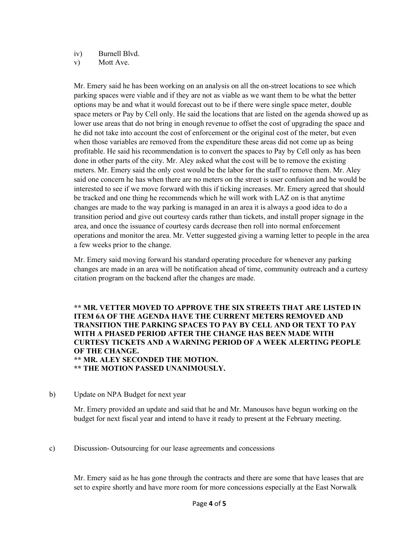iv) Burnell Blvd.

v) Mott Ave.

Mr. Emery said he has been working on an analysis on all the on-street locations to see which parking spaces were viable and if they are not as viable as we want them to be what the better options may be and what it would forecast out to be if there were single space meter, double space meters or Pay by Cell only. He said the locations that are listed on the agenda showed up as lower use areas that do not bring in enough revenue to offset the cost of upgrading the space and he did not take into account the cost of enforcement or the original cost of the meter, but even when those variables are removed from the expenditure these areas did not come up as being profitable. He said his recommendation is to convert the spaces to Pay by Cell only as has been done in other parts of the city. Mr. Aley asked what the cost will be to remove the existing meters. Mr. Emery said the only cost would be the labor for the staff to remove them. Mr. Aley said one concern he has when there are no meters on the street is user confusion and he would be interested to see if we move forward with this if ticking increases. Mr. Emery agreed that should be tracked and one thing he recommends which he will work with LAZ on is that anytime changes are made to the way parking is managed in an area it is always a good idea to do a transition period and give out courtesy cards rather than tickets, and install proper signage in the area, and once the issuance of courtesy cards decrease then roll into normal enforcement operations and monitor the area. Mr. Vetter suggested giving a warning letter to people in the area a few weeks prior to the change.

Mr. Emery said moving forward his standard operating procedure for whenever any parking changes are made in an area will be notification ahead of time, community outreach and a curtesy citation program on the backend after the changes are made.

**\*\* MR. VETTER MOVED TO APPROVE THE SIX STREETS THAT ARE LISTED IN ITEM 6A OF THE AGENDA HAVE THE CURRENT METERS REMOVED AND TRANSITION THE PARKING SPACES TO PAY BY CELL AND OR TEXT TO PAY WITH A PHASED PERIOD AFTER THE CHANGE HAS BEEN MADE WITH CURTESY TICKETS AND A WARNING PERIOD OF A WEEK ALERTING PEOPLE OF THE CHANGE. \*\* MR. ALEY SECONDED THE MOTION. \*\* THE MOTION PASSED UNANIMOUSLY.** 

b) Update on NPA Budget for next year

Mr. Emery provided an update and said that he and Mr. Manousos have begun working on the budget for next fiscal year and intend to have it ready to present at the February meeting.

c) Discussion- Outsourcing for our lease agreements and concessions

Mr. Emery said as he has gone through the contracts and there are some that have leases that are set to expire shortly and have more room for more concessions especially at the East Norwalk